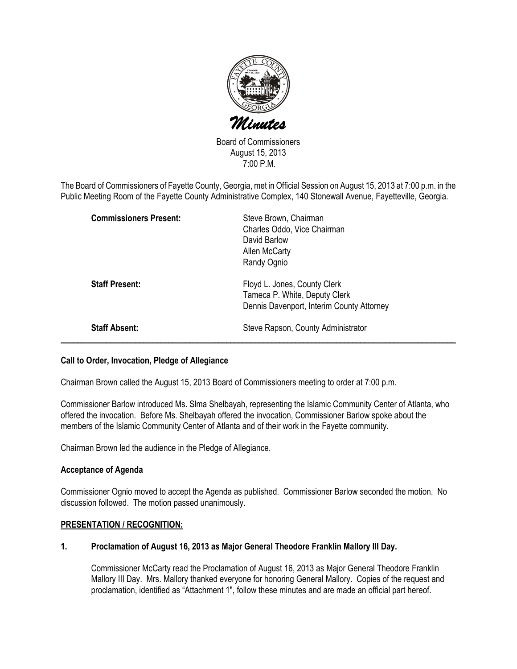

Board of Commissioners August 15, 2013 7:00 P.M.

The Board of Commissioners of Fayette County, Georgia, met in Official Session on August 15, 2013 at 7:00 p.m. in the Public Meeting Room of the Fayette County Administrative Complex, 140 Stonewall Avenue, Fayetteville, Georgia.

| <b>Commissioners Present:</b> | Steve Brown, Chairman<br>Charles Oddo, Vice Chairman<br>David Barlow<br>Allen McCarty<br>Randy Ognio       |
|-------------------------------|------------------------------------------------------------------------------------------------------------|
| <b>Staff Present:</b>         | Floyd L. Jones, County Clerk<br>Tameca P. White, Deputy Clerk<br>Dennis Davenport, Interim County Attorney |
| <b>Staff Absent:</b>          | Steve Rapson, County Administrator                                                                         |

#### Call to Order, Invocation, Pledge of Allegiance

Chairman Brown called the August 15, 2013 Board of Commissioners meeting to order at 7:00 p.m.

Commissioner Barlow introduced Ms. Slma Shelbayah, representing the Islamic Community Center of Atlanta, who offered the invocation. Before Ms. Shelbayah offered the invocation, Commissioner Barlow spoke about the members of the Islamic Community Center of Atlanta and of their work in the Fayette community.

Chairman Brown led the audience in the Pledge of Allegiance.

#### Acceptance of Agenda

Commissioner Ognio moved to accept the Agenda as published. Commissioner Barlow seconded the motion. No discussion followed. The motion passed unanimously.

#### PRESENTATION / RECOGNITION:

## 1. Proclamation of August 16, 2013 as Major General Theodore Franklin Mallory III Day.

Commissioner McCarty read the Proclamation of August 16, 2013 as Major General Theodore Franklin Mallory III Day. Mrs. Mallory thanked everyone for honoring General Mallory. Copies of the request and proclamation, identified as "Attachment 1", follow these minutes and are made an official part hereof.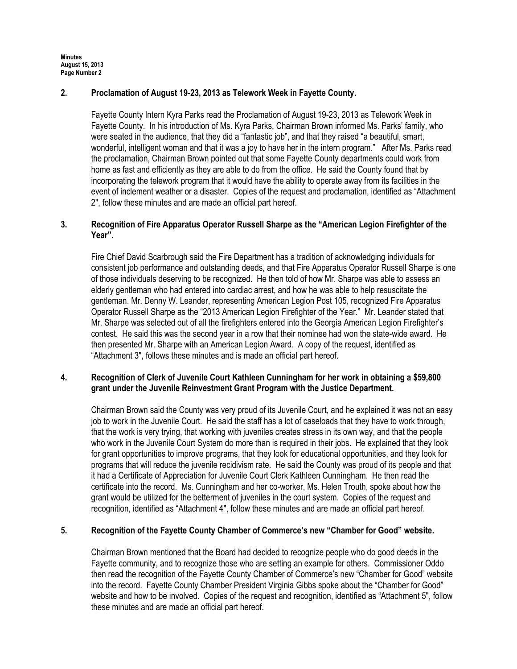## 2. Proclamation of August 19-23, 2013 as Telework Week in Fayette County.

Fayette County Intern Kyra Parks read the Proclamation of August 19-23, 2013 as Telework Week in Fayette County. In his introduction of Ms. Kyra Parks, Chairman Brown informed Ms. Parks' family, who were seated in the audience, that they did a "fantastic job", and that they raised "a beautiful, smart, wonderful, intelligent woman and that it was a joy to have her in the intern program." After Ms. Parks read the proclamation, Chairman Brown pointed out that some Fayette County departments could work from home as fast and efficiently as they are able to do from the office. He said the County found that by incorporating the telework program that it would have the ability to operate away from its facilities in the event of inclement weather or a disaster. Copies of the request and proclamation, identified as "Attachment 2", follow these minutes and are made an official part hereof.

## 3. Recognition of Fire Apparatus Operator Russell Sharpe as the "American Legion Firefighter of the Year".

Fire Chief David Scarbrough said the Fire Department has a tradition of acknowledging individuals for consistent job performance and outstanding deeds, and that Fire Apparatus Operator Russell Sharpe is one of those individuals deserving to be recognized. He then told of how Mr. Sharpe was able to assess an elderly gentleman who had entered into cardiac arrest, and how he was able to help resuscitate the gentleman. Mr. Denny W. Leander, representing American Legion Post 105, recognized Fire Apparatus Operator Russell Sharpe as the "2013 American Legion Firefighter of the Year." Mr. Leander stated that Mr. Sharpe was selected out of all the firefighters entered into the Georgia American Legion Firefighter's contest. He said this was the second year in a row that their nominee had won the state-wide award. He then presented Mr. Sharpe with an American Legion Award. A copy of the request, identified as "Attachment 3", follows these minutes and is made an official part hereof.

## 4. Recognition of Clerk of Juvenile Court Kathleen Cunningham for her work in obtaining a \$59,800 grant under the Juvenile Reinvestment Grant Program with the Justice Department.

Chairman Brown said the County was very proud of its Juvenile Court, and he explained it was not an easy job to work in the Juvenile Court. He said the staff has a lot of caseloads that they have to work through, that the work is very trying, that working with juveniles creates stress in its own way, and that the people who work in the Juvenile Court System do more than is required in their jobs. He explained that they look for grant opportunities to improve programs, that they look for educational opportunities, and they look for programs that will reduce the juvenile recidivism rate. He said the County was proud of its people and that it had a Certificate of Appreciation for Juvenile Court Clerk Kathleen Cunningham. He then read the certificate into the record. Ms. Cunningham and her co-worker, Ms. Helen Trouth, spoke about how the grant would be utilized for the betterment of juveniles in the court system. Copies of the request and recognition, identified as "Attachment 4", follow these minutes and are made an official part hereof.

## 5. Recognition of the Fayette County Chamber of Commerce's new "Chamber for Good" website.

Chairman Brown mentioned that the Board had decided to recognize people who do good deeds in the Fayette community, and to recognize those who are setting an example for others. Commissioner Oddo then read the recognition of the Fayette County Chamber of Commerce's new "Chamber for Good" website into the record. Fayette County Chamber President Virginia Gibbs spoke about the "Chamber for Good" website and how to be involved. Copies of the request and recognition, identified as "Attachment 5", follow these minutes and are made an official part hereof.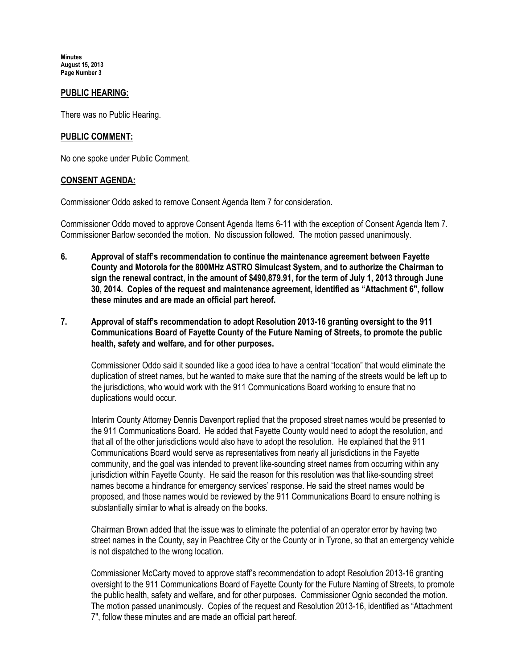#### PUBLIC HEARING:

There was no Public Hearing.

#### PUBLIC COMMENT:

No one spoke under Public Comment.

#### CONSENT AGENDA:

Commissioner Oddo asked to remove Consent Agenda Item 7 for consideration.

Commissioner Oddo moved to approve Consent Agenda Items 6-11 with the exception of Consent Agenda Item 7. Commissioner Barlow seconded the motion. No discussion followed. The motion passed unanimously.

- 6. Approval of staff's recommendation to continue the maintenance agreement between Fayette County and Motorola for the 800MHz ASTRO Simulcast System, and to authorize the Chairman to sign the renewal contract, in the amount of \$490,879.91, for the term of July 1, 2013 through June 30, 2014. Copies of the request and maintenance agreement, identified as "Attachment 6", follow these minutes and are made an official part hereof.
- 7. Approval of staff's recommendation to adopt Resolution 2013-16 granting oversight to the 911 Communications Board of Fayette County of the Future Naming of Streets, to promote the public health, safety and welfare, and for other purposes.

Commissioner Oddo said it sounded like a good idea to have a central "location" that would eliminate the duplication of street names, but he wanted to make sure that the naming of the streets would be left up to the jurisdictions, who would work with the 911 Communications Board working to ensure that no duplications would occur.

Interim County Attorney Dennis Davenport replied that the proposed street names would be presented to the 911 Communications Board. He added that Fayette County would need to adopt the resolution, and that all of the other jurisdictions would also have to adopt the resolution. He explained that the 911 Communications Board would serve as representatives from nearly all jurisdictions in the Fayette community, and the goal was intended to prevent like-sounding street names from occurring within any jurisdiction within Fayette County. He said the reason for this resolution was that like-sounding street names become a hindrance for emergency services' response. He said the street names would be proposed, and those names would be reviewed by the 911 Communications Board to ensure nothing is substantially similar to what is already on the books.

Chairman Brown added that the issue was to eliminate the potential of an operator error by having two street names in the County, say in Peachtree City or the County or in Tyrone, so that an emergency vehicle is not dispatched to the wrong location.

Commissioner McCarty moved to approve staff's recommendation to adopt Resolution 2013-16 granting oversight to the 911 Communications Board of Fayette County for the Future Naming of Streets, to promote the public health, safety and welfare, and for other purposes. Commissioner Ognio seconded the motion. The motion passed unanimously. Copies of the request and Resolution 2013-16, identified as "Attachment 7", follow these minutes and are made an official part hereof.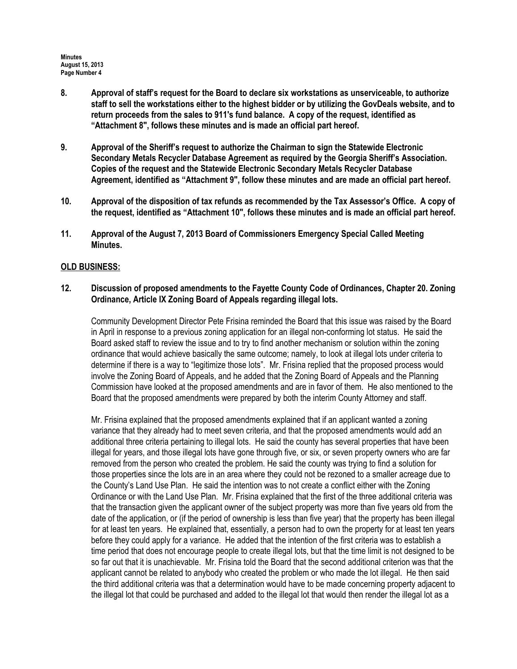- 8. Approval of staff's request for the Board to declare six workstations as unserviceable, to authorize staff to sell the workstations either to the highest bidder or by utilizing the GovDeals website, and to return proceeds from the sales to 911's fund balance. A copy of the request, identified as "Attachment 8", follows these minutes and is made an official part hereof.
- 9. Approval of the Sheriff's request to authorize the Chairman to sign the Statewide Electronic Secondary Metals Recycler Database Agreement as required by the Georgia Sheriff's Association. Copies of the request and the Statewide Electronic Secondary Metals Recycler Database Agreement, identified as "Attachment 9", follow these minutes and are made an official part hereof.
- 10. Approval of the disposition of tax refunds as recommended by the Tax Assessor's Office. A copy of the request, identified as "Attachment 10", follows these minutes and is made an official part hereof.
- 11. Approval of the August 7, 2013 Board of Commissioners Emergency Special Called Meeting Minutes.

#### OLD BUSINESS:

12. Discussion of proposed amendments to the Fayette County Code of Ordinances, Chapter 20. Zoning Ordinance, Article IX Zoning Board of Appeals regarding illegal lots.

Community Development Director Pete Frisina reminded the Board that this issue was raised by the Board in April in response to a previous zoning application for an illegal non-conforming lot status. He said the Board asked staff to review the issue and to try to find another mechanism or solution within the zoning ordinance that would achieve basically the same outcome; namely, to look at illegal lots under criteria to determine if there is a way to "legitimize those lots". Mr. Frisina replied that the proposed process would involve the Zoning Board of Appeals, and he added that the Zoning Board of Appeals and the Planning Commission have looked at the proposed amendments and are in favor of them. He also mentioned to the Board that the proposed amendments were prepared by both the interim County Attorney and staff.

Mr. Frisina explained that the proposed amendments explained that if an applicant wanted a zoning variance that they already had to meet seven criteria, and that the proposed amendments would add an additional three criteria pertaining to illegal lots. He said the county has several properties that have been illegal for years, and those illegal lots have gone through five, or six, or seven property owners who are far removed from the person who created the problem. He said the county was trying to find a solution for those properties since the lots are in an area where they could not be rezoned to a smaller acreage due to the County's Land Use Plan. He said the intention was to not create a conflict either with the Zoning Ordinance or with the Land Use Plan. Mr. Frisina explained that the first of the three additional criteria was that the transaction given the applicant owner of the subject property was more than five years old from the date of the application, or (if the period of ownership is less than five year) that the property has been illegal for at least ten years. He explained that, essentially, a person had to own the property for at least ten years before they could apply for a variance. He added that the intention of the first criteria was to establish a time period that does not encourage people to create illegal lots, but that the time limit is not designed to be so far out that it is unachievable. Mr. Frisina told the Board that the second additional criterion was that the applicant cannot be related to anybody who created the problem or who made the lot illegal. He then said the third additional criteria was that a determination would have to be made concerning property adjacent to the illegal lot that could be purchased and added to the illegal lot that would then render the illegal lot as a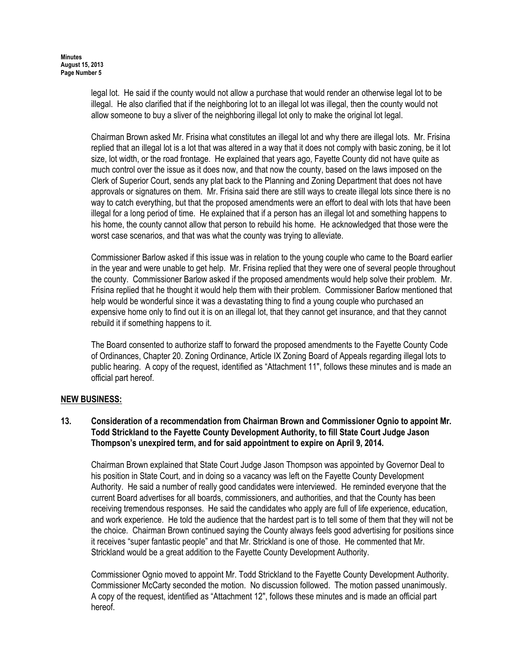legal lot. He said if the county would not allow a purchase that would render an otherwise legal lot to be illegal. He also clarified that if the neighboring lot to an illegal lot was illegal, then the county would not allow someone to buy a sliver of the neighboring illegal lot only to make the original lot legal.

Chairman Brown asked Mr. Frisina what constitutes an illegal lot and why there are illegal lots. Mr. Frisina replied that an illegal lot is a lot that was altered in a way that it does not comply with basic zoning, be it lot size, lot width, or the road frontage. He explained that years ago, Fayette County did not have quite as much control over the issue as it does now, and that now the county, based on the laws imposed on the Clerk of Superior Court, sends any plat back to the Planning and Zoning Department that does not have approvals or signatures on them. Mr. Frisina said there are still ways to create illegal lots since there is no way to catch everything, but that the proposed amendments were an effort to deal with lots that have been illegal for a long period of time. He explained that if a person has an illegal lot and something happens to his home, the county cannot allow that person to rebuild his home. He acknowledged that those were the worst case scenarios, and that was what the county was trying to alleviate.

Commissioner Barlow asked if this issue was in relation to the young couple who came to the Board earlier in the year and were unable to get help. Mr. Frisina replied that they were one of several people throughout the county. Commissioner Barlow asked if the proposed amendments would help solve their problem. Mr. Frisina replied that he thought it would help them with their problem. Commissioner Barlow mentioned that help would be wonderful since it was a devastating thing to find a young couple who purchased an expensive home only to find out it is on an illegal lot, that they cannot get insurance, and that they cannot rebuild it if something happens to it.

The Board consented to authorize staff to forward the proposed amendments to the Fayette County Code of Ordinances, Chapter 20. Zoning Ordinance, Article IX Zoning Board of Appeals regarding illegal lots to public hearing. A copy of the request, identified as "Attachment 11", follows these minutes and is made an official part hereof.

# NEW BUSINESS:

## 13. Consideration of a recommendation from Chairman Brown and Commissioner Ognio to appoint Mr. Todd Strickland to the Fayette County Development Authority, to fill State Court Judge Jason Thompson's unexpired term, and for said appointment to expire on April 9, 2014.

Chairman Brown explained that State Court Judge Jason Thompson was appointed by Governor Deal to his position in State Court, and in doing so a vacancy was left on the Fayette County Development Authority. He said a number of really good candidates were interviewed. He reminded everyone that the current Board advertises for all boards, commissioners, and authorities, and that the County has been receiving tremendous responses. He said the candidates who apply are full of life experience, education, and work experience. He told the audience that the hardest part is to tell some of them that they will not be the choice. Chairman Brown continued saying the County always feels good advertising for positions since it receives "super fantastic people" and that Mr. Strickland is one of those. He commented that Mr. Strickland would be a great addition to the Fayette County Development Authority.

Commissioner Ognio moved to appoint Mr. Todd Strickland to the Fayette County Development Authority. Commissioner McCarty seconded the motion. No discussion followed. The motion passed unanimously. A copy of the request, identified as "Attachment 12", follows these minutes and is made an official part hereof.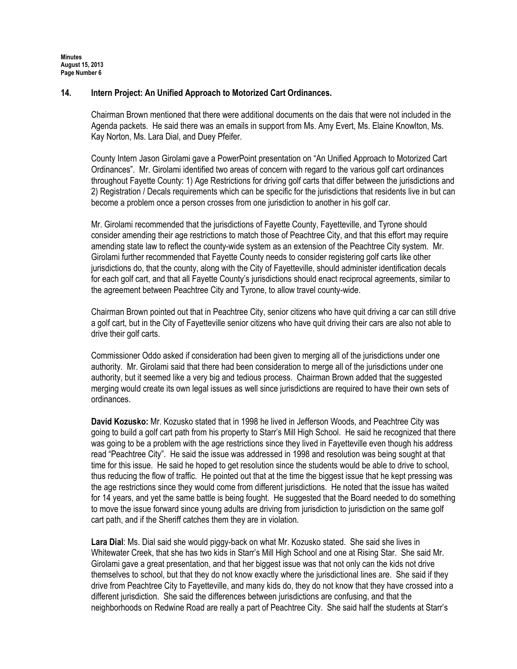### 14. Intern Project: An Unified Approach to Motorized Cart Ordinances.

Chairman Brown mentioned that there were additional documents on the dais that were not included in the Agenda packets. He said there was an emails in support from Ms. Amy Evert, Ms. Elaine Knowlton, Ms. Kay Norton, Ms. Lara Dial, and Duey Pfeifer.

County Intern Jason Girolami gave a PowerPoint presentation on "An Unified Approach to Motorized Cart Ordinances". Mr. Girolami identified two areas of concern with regard to the various golf cart ordinances throughout Fayette County: 1) Age Restrictions for driving golf carts that differ between the jurisdictions and 2) Registration / Decals requirements which can be specific for the jurisdictions that residents live in but can become a problem once a person crosses from one jurisdiction to another in his golf car.

Mr. Girolami recommended that the jurisdictions of Fayette County, Fayetteville, and Tyrone should consider amending their age restrictions to match those of Peachtree City, and that this effort may require amending state law to reflect the county-wide system as an extension of the Peachtree City system. Mr. Girolami further recommended that Fayette County needs to consider registering golf carts like other jurisdictions do, that the county, along with the City of Fayetteville, should administer identification decals for each golf cart, and that all Fayette County's jurisdictions should enact reciprocal agreements, similar to the agreement between Peachtree City and Tyrone, to allow travel county-wide.

Chairman Brown pointed out that in Peachtree City, senior citizens who have quit driving a car can still drive a golf cart, but in the City of Fayetteville senior citizens who have quit driving their cars are also not able to drive their golf carts.

Commissioner Oddo asked if consideration had been given to merging all of the jurisdictions under one authority. Mr. Girolami said that there had been consideration to merge all of the jurisdictions under one authority, but it seemed like a very big and tedious process. Chairman Brown added that the suggested merging would create its own legal issues as well since jurisdictions are required to have their own sets of ordinances.

David Kozusko: Mr. Kozusko stated that in 1998 he lived in Jefferson Woods, and Peachtree City was going to build a golf cart path from his property to Starr's Mill High School. He said he recognized that there was going to be a problem with the age restrictions since they lived in Favetteville even though his address read "Peachtree City". He said the issue was addressed in 1998 and resolution was being sought at that time for this issue. He said he hoped to get resolution since the students would be able to drive to school, thus reducing the flow of traffic. He pointed out that at the time the biggest issue that he kept pressing was the age restrictions since they would come from different jurisdictions. He noted that the issue has waited for 14 years, and yet the same battle is being fought. He suggested that the Board needed to do something to move the issue forward since young adults are driving from jurisdiction to jurisdiction on the same golf cart path, and if the Sheriff catches them they are in violation.

Lara Dial: Ms. Dial said she would piggy-back on what Mr. Kozusko stated. She said she lives in Whitewater Creek, that she has two kids in Starr's Mill High School and one at Rising Star. She said Mr. Girolami gave a great presentation, and that her biggest issue was that not only can the kids not drive themselves to school, but that they do not know exactly where the jurisdictional lines are. She said if they drive from Peachtree City to Fayetteville, and many kids do, they do not know that they have crossed into a different jurisdiction. She said the differences between jurisdictions are confusing, and that the neighborhoods on Redwine Road are really a part of Peachtree City. She said half the students at Starr's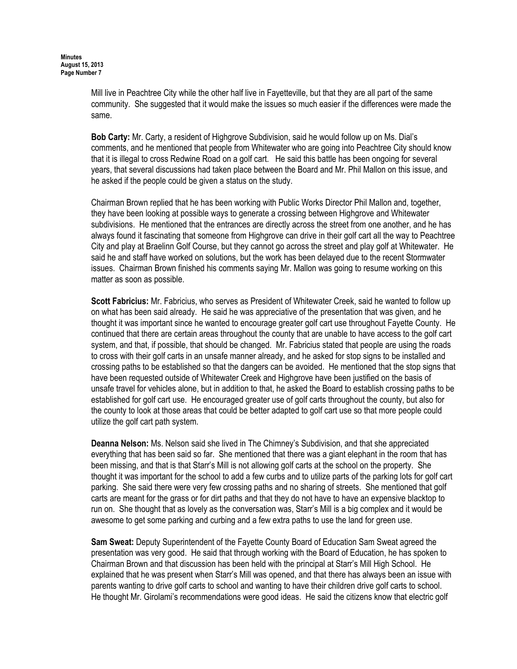Mill live in Peachtree City while the other half live in Fayetteville, but that they are all part of the same community. She suggested that it would make the issues so much easier if the differences were made the same.

Bob Carty: Mr. Carty, a resident of Highgrove Subdivision, said he would follow up on Ms. Dial's comments, and he mentioned that people from Whitewater who are going into Peachtree City should know that it is illegal to cross Redwine Road on a golf cart. He said this battle has been ongoing for several years, that several discussions had taken place between the Board and Mr. Phil Mallon on this issue, and he asked if the people could be given a status on the study.

Chairman Brown replied that he has been working with Public Works Director Phil Mallon and, together, they have been looking at possible ways to generate a crossing between Highgrove and Whitewater subdivisions. He mentioned that the entrances are directly across the street from one another, and he has always found it fascinating that someone from Highgrove can drive in their golf cart all the way to Peachtree City and play at Braelinn Golf Course, but they cannot go across the street and play golf at Whitewater. He said he and staff have worked on solutions, but the work has been delayed due to the recent Stormwater issues. Chairman Brown finished his comments saying Mr. Mallon was going to resume working on this matter as soon as possible.

Scott Fabricius: Mr. Fabricius, who serves as President of Whitewater Creek, said he wanted to follow up on what has been said already. He said he was appreciative of the presentation that was given, and he thought it was important since he wanted to encourage greater golf cart use throughout Fayette County. He continued that there are certain areas throughout the county that are unable to have access to the golf cart system, and that, if possible, that should be changed. Mr. Fabricius stated that people are using the roads to cross with their golf carts in an unsafe manner already, and he asked for stop signs to be installed and crossing paths to be established so that the dangers can be avoided. He mentioned that the stop signs that have been requested outside of Whitewater Creek and Highgrove have been justified on the basis of unsafe travel for vehicles alone, but in addition to that, he asked the Board to establish crossing paths to be established for golf cart use. He encouraged greater use of golf carts throughout the county, but also for the county to look at those areas that could be better adapted to golf cart use so that more people could utilize the golf cart path system.

Deanna Nelson: Ms. Nelson said she lived in The Chimney's Subdivision, and that she appreciated everything that has been said so far. She mentioned that there was a giant elephant in the room that has been missing, and that is that Starr's Mill is not allowing golf carts at the school on the property. She thought it was important for the school to add a few curbs and to utilize parts of the parking lots for golf cart parking. She said there were very few crossing paths and no sharing of streets. She mentioned that golf carts are meant for the grass or for dirt paths and that they do not have to have an expensive blacktop to run on. She thought that as lovely as the conversation was, Starr's Mill is a big complex and it would be awesome to get some parking and curbing and a few extra paths to use the land for green use.

Sam Sweat: Deputy Superintendent of the Fayette County Board of Education Sam Sweat agreed the presentation was very good. He said that through working with the Board of Education, he has spoken to Chairman Brown and that discussion has been held with the principal at Starr's Mill High School. He explained that he was present when Starr's Mill was opened, and that there has always been an issue with parents wanting to drive golf carts to school and wanting to have their children drive golf carts to school. He thought Mr. Girolami's recommendations were good ideas. He said the citizens know that electric golf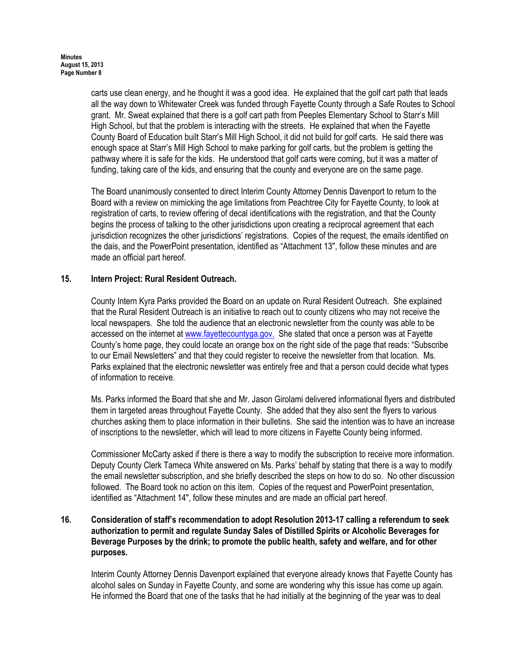carts use clean energy, and he thought it was a good idea. He explained that the golf cart path that leads all the way down to Whitewater Creek was funded through Fayette County through a Safe Routes to School grant. Mr. Sweat explained that there is a golf cart path from Peeples Elementary School to Starr's Mill High School, but that the problem is interacting with the streets. He explained that when the Fayette County Board of Education built Starr's Mill High School, it did not build for golf carts. He said there was enough space at Starr's Mill High School to make parking for golf carts, but the problem is getting the pathway where it is safe for the kids. He understood that golf carts were coming, but it was a matter of funding, taking care of the kids, and ensuring that the county and everyone are on the same page.

The Board unanimously consented to direct Interim County Attorney Dennis Davenport to return to the Board with a review on mimicking the age limitations from Peachtree City for Fayette County, to look at registration of carts, to review offering of decal identifications with the registration, and that the County begins the process of talking to the other jurisdictions upon creating a reciprocal agreement that each jurisdiction recognizes the other jurisdictions' registrations. Copies of the request, the emails identified on the dais, and the PowerPoint presentation, identified as "Attachment 13", follow these minutes and are made an official part hereof.

## 15. Intern Project: Rural Resident Outreach.

County Intern Kyra Parks provided the Board on an update on Rural Resident Outreach. She explained that the Rural Resident Outreach is an initiative to reach out to county citizens who may not receive the local newspapers. She told the audience that an electronic newsletter from the county was able to be accessed on the internet at www.fayettecountyga.gov. She stated that once a person was at Fayette County's home page, they could locate an orange box on the right side of the page that reads: "Subscribe to our Email Newsletters" and that they could register to receive the newsletter from that location. Ms. Parks explained that the electronic newsletter was entirely free and that a person could decide what types of information to receive.

Ms. Parks informed the Board that she and Mr. Jason Girolami delivered informational flyers and distributed them in targeted areas throughout Fayette County. She added that they also sent the flyers to various churches asking them to place information in their bulletins. She said the intention was to have an increase of inscriptions to the newsletter, which will lead to more citizens in Fayette County being informed.

Commissioner McCarty asked if there is there a way to modify the subscription to receive more information. Deputy County Clerk Tameca White answered on Ms. Parks' behalf by stating that there is a way to modify the email newsletter subscription, and she briefly described the steps on how to do so. No other discussion followed. The Board took no action on this item. Copies of the request and PowerPoint presentation, identified as "Attachment 14", follow these minutes and are made an official part hereof.

## 16. Consideration of staff's recommendation to adopt Resolution 2013-17 calling a referendum to seek authorization to permit and regulate Sunday Sales of Distilled Spirits or Alcoholic Beverages for Beverage Purposes by the drink; to promote the public health, safety and welfare, and for other purposes.

Interim County Attorney Dennis Davenport explained that everyone already knows that Fayette County has alcohol sales on Sunday in Fayette County, and some are wondering why this issue has come up again. He informed the Board that one of the tasks that he had initially at the beginning of the year was to deal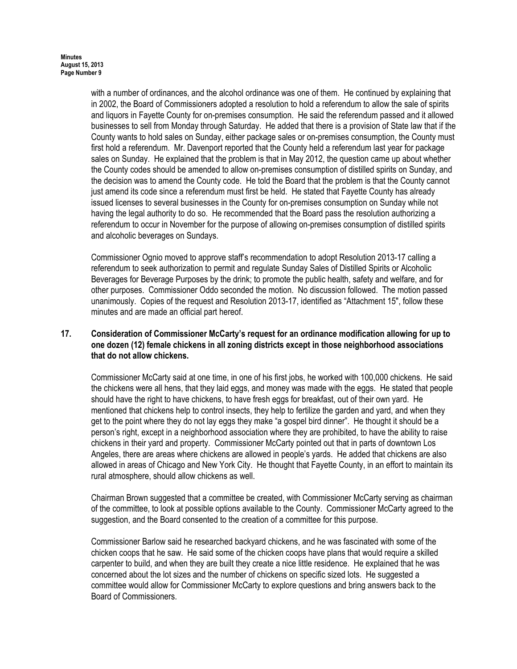with a number of ordinances, and the alcohol ordinance was one of them. He continued by explaining that in 2002, the Board of Commissioners adopted a resolution to hold a referendum to allow the sale of spirits and liquors in Fayette County for on-premises consumption. He said the referendum passed and it allowed businesses to sell from Monday through Saturday. He added that there is a provision of State law that if the County wants to hold sales on Sunday, either package sales or on-premises consumption, the County must first hold a referendum. Mr. Davenport reported that the County held a referendum last year for package sales on Sunday. He explained that the problem is that in May 2012, the question came up about whether the County codes should be amended to allow on-premises consumption of distilled spirits on Sunday, and the decision was to amend the County code. He told the Board that the problem is that the County cannot just amend its code since a referendum must first be held. He stated that Fayette County has already issued licenses to several businesses in the County for on-premises consumption on Sunday while not having the legal authority to do so. He recommended that the Board pass the resolution authorizing a referendum to occur in November for the purpose of allowing on-premises consumption of distilled spirits and alcoholic beverages on Sundays.

Commissioner Ognio moved to approve staff's recommendation to adopt Resolution 2013-17 calling a referendum to seek authorization to permit and regulate Sunday Sales of Distilled Spirits or Alcoholic Beverages for Beverage Purposes by the drink; to promote the public health, safety and welfare, and for other purposes. Commissioner Oddo seconded the motion. No discussion followed. The motion passed unanimously. Copies of the request and Resolution 2013-17, identified as "Attachment 15", follow these minutes and are made an official part hereof.

### 17. Consideration of Commissioner McCarty's request for an ordinance modification allowing for up to one dozen (12) female chickens in all zoning districts except in those neighborhood associations that do not allow chickens.

Commissioner McCarty said at one time, in one of his first jobs, he worked with 100,000 chickens. He said the chickens were all hens, that they laid eggs, and money was made with the eggs. He stated that people should have the right to have chickens, to have fresh eggs for breakfast, out of their own yard. He mentioned that chickens help to control insects, they help to fertilize the garden and yard, and when they get to the point where they do not lay eggs they make "a gospel bird dinner". He thought it should be a person's right, except in a neighborhood association where they are prohibited, to have the ability to raise chickens in their yard and property. Commissioner McCarty pointed out that in parts of downtown Los Angeles, there are areas where chickens are allowed in people's yards. He added that chickens are also allowed in areas of Chicago and New York City. He thought that Fayette County, in an effort to maintain its rural atmosphere, should allow chickens as well.

Chairman Brown suggested that a committee be created, with Commissioner McCarty serving as chairman of the committee, to look at possible options available to the County. Commissioner McCarty agreed to the suggestion, and the Board consented to the creation of a committee for this purpose.

Commissioner Barlow said he researched backyard chickens, and he was fascinated with some of the chicken coops that he saw. He said some of the chicken coops have plans that would require a skilled carpenter to build, and when they are built they create a nice little residence. He explained that he was concerned about the lot sizes and the number of chickens on specific sized lots. He suggested a committee would allow for Commissioner McCarty to explore questions and bring answers back to the Board of Commissioners.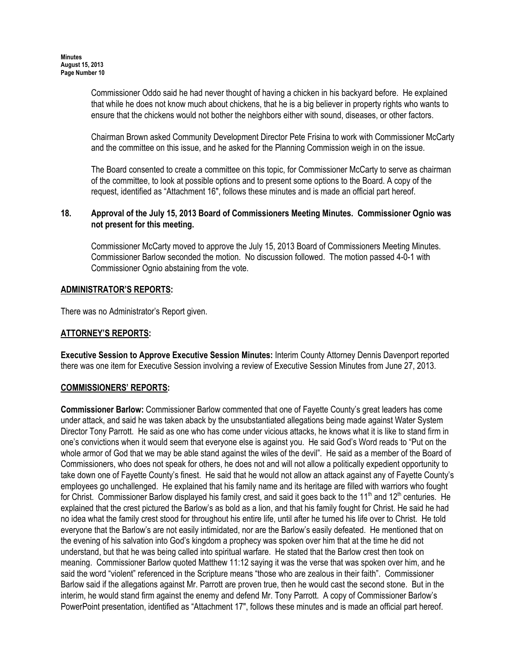Commissioner Oddo said he had never thought of having a chicken in his backyard before. He explained that while he does not know much about chickens, that he is a big believer in property rights who wants to ensure that the chickens would not bother the neighbors either with sound, diseases, or other factors.

Chairman Brown asked Community Development Director Pete Frisina to work with Commissioner McCarty and the committee on this issue, and he asked for the Planning Commission weigh in on the issue.

The Board consented to create a committee on this topic, for Commissioner McCarty to serve as chairman of the committee, to look at possible options and to present some options to the Board. A copy of the request, identified as "Attachment 16", follows these minutes and is made an official part hereof.

### 18. Approval of the July 15, 2013 Board of Commissioners Meeting Minutes. Commissioner Ognio was not present for this meeting.

Commissioner McCarty moved to approve the July 15, 2013 Board of Commissioners Meeting Minutes. Commissioner Barlow seconded the motion. No discussion followed. The motion passed 4-0-1 with Commissioner Ognio abstaining from the vote.

# ADMINISTRATOR'S REPORTS:

There was no Administrator's Report given.

## ATTORNEY'S REPORTS:

Executive Session to Approve Executive Session Minutes: Interim County Attorney Dennis Davenport reported there was one item for Executive Session involving a review of Executive Session Minutes from June 27, 2013.

#### COMMISSIONERS' REPORTS:

Commissioner Barlow: Commissioner Barlow commented that one of Fayette County's great leaders has come under attack, and said he was taken aback by the unsubstantiated allegations being made against Water System Director Tony Parrott. He said as one who has come under vicious attacks, he knows what it is like to stand firm in one's convictions when it would seem that everyone else is against you. He said God's Word reads to "Put on the whole armor of God that we may be able stand against the wiles of the devil". He said as a member of the Board of Commissioners, who does not speak for others, he does not and will not allow a politically expedient opportunity to take down one of Fayette County's finest. He said that he would not allow an attack against any of Fayette County's employees go unchallenged. He explained that his family name and its heritage are filled with warriors who fought for Christ. Commissioner Barlow displayed his family crest, and said it goes back to the 11<sup>th</sup> and 12<sup>th</sup> centuries. He explained that the crest pictured the Barlow's as bold as a lion, and that his family fought for Christ. He said he had no idea what the family crest stood for throughout his entire life, until after he turned his life over to Christ. He told everyone that the Barlow's are not easily intimidated, nor are the Barlow's easily defeated. He mentioned that on the evening of his salvation into God's kingdom a prophecy was spoken over him that at the time he did not understand, but that he was being called into spiritual warfare. He stated that the Barlow crest then took on meaning. Commissioner Barlow quoted Matthew 11:12 saying it was the verse that was spoken over him, and he said the word "violent" referenced in the Scripture means "those who are zealous in their faith". Commissioner Barlow said if the allegations against Mr. Parrott are proven true, then he would cast the second stone. But in the interim, he would stand firm against the enemy and defend Mr. Tony Parrott. A copy of Commissioner Barlow's PowerPoint presentation, identified as "Attachment 17", follows these minutes and is made an official part hereof.